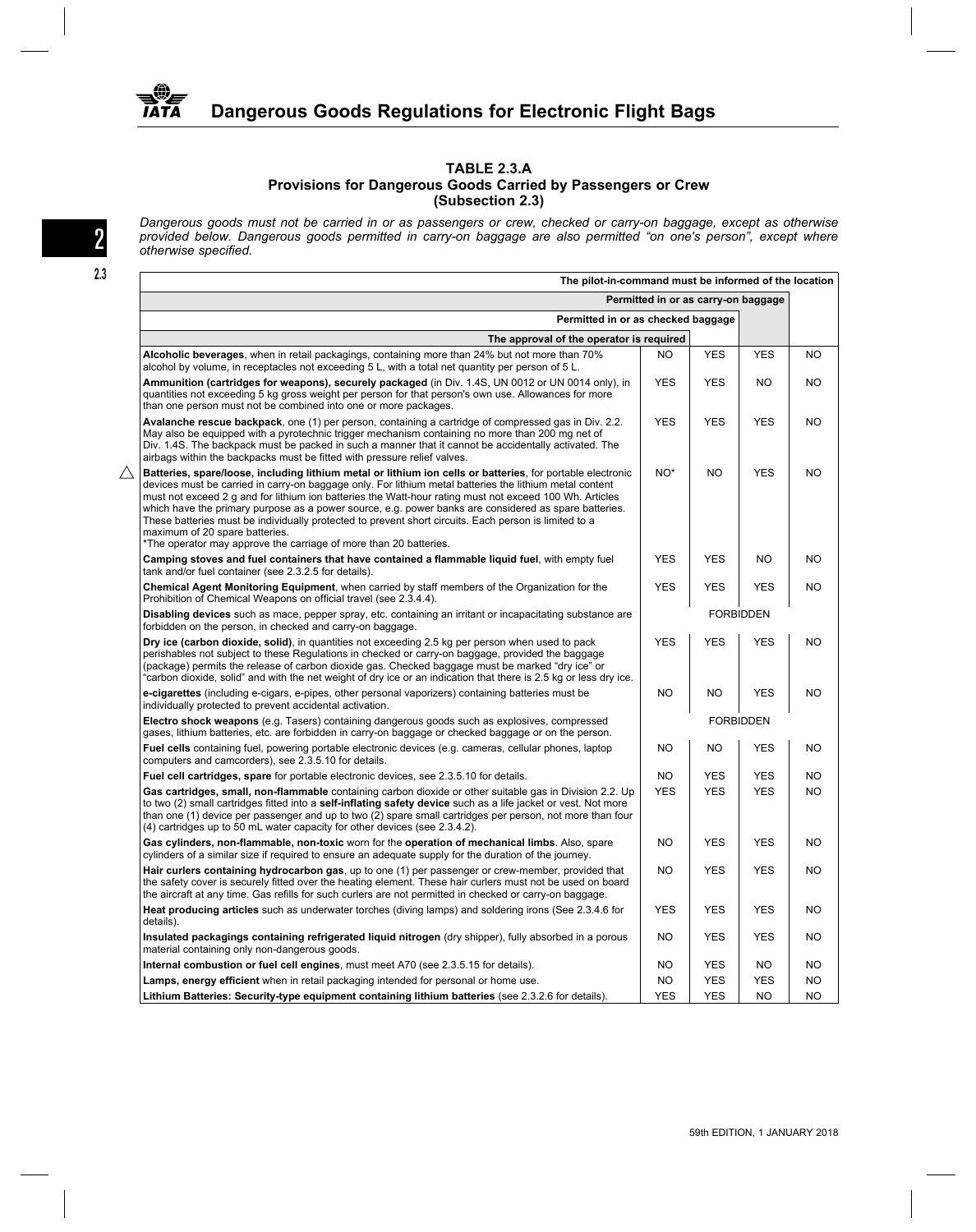

## **TABLE 2.3.A Provisions for Dangerous Goods Carried by Passengers or Crew (Subsection 2.3)**

*Dangerous goods must not be carried in or as passengers or crew, checked or carry-on baggage, except as otherwise provided below. Dangerous goods permitted in carry-on baggage are also permitted "on one's person", except where*<br>otherwise specified.

| The pilot-in-command must be informed of the location                                                                                                                                                                                                                                                                                                                                                                                                                                                                                                                                                                                                     |                                     |                  |                  |           |
|-----------------------------------------------------------------------------------------------------------------------------------------------------------------------------------------------------------------------------------------------------------------------------------------------------------------------------------------------------------------------------------------------------------------------------------------------------------------------------------------------------------------------------------------------------------------------------------------------------------------------------------------------------------|-------------------------------------|------------------|------------------|-----------|
|                                                                                                                                                                                                                                                                                                                                                                                                                                                                                                                                                                                                                                                           | Permitted in or as carry-on baggage |                  |                  |           |
| Permitted in or as checked baggage                                                                                                                                                                                                                                                                                                                                                                                                                                                                                                                                                                                                                        |                                     |                  |                  |           |
| The approval of the operator is required                                                                                                                                                                                                                                                                                                                                                                                                                                                                                                                                                                                                                  |                                     |                  |                  |           |
| Alcoholic beverages, when in retail packagings, containing more than 24% but not more than 70%<br>alcohol by volume, in receptacles not exceeding 5 L, with a total net quantity per person of 5 L.                                                                                                                                                                                                                                                                                                                                                                                                                                                       | NO                                  | <b>YES</b>       | <b>YES</b>       | <b>NO</b> |
| Ammunition (cartridges for weapons), securely packaged (in Div. 1.4S, UN 0012 or UN 0014 only), in<br>quantities not exceeding 5 kg gross weight per person for that person's own use. Allowances for more<br>than one person must not be combined into one or more packages.                                                                                                                                                                                                                                                                                                                                                                             | <b>YES</b>                          | <b>YES</b>       | <b>NO</b>        | NO        |
| Avalanche rescue backpack, one (1) per person, containing a cartridge of compressed gas in Div. 2.2.<br>May also be equipped with a pyrotechnic trigger mechanism containing no more than 200 mg net of<br>Div. 1.4S. The backpack must be packed in such a manner that it cannot be accidentally activated. The<br>airbags within the backpacks must be fitted with pressure relief valves.                                                                                                                                                                                                                                                              | <b>YES</b>                          | <b>YES</b>       | <b>YES</b>       | NO        |
| Batteries, spare/loose, including lithium metal or lithium ion cells or batteries, for portable electronic<br>devices must be carried in carry-on baggage only. For lithium metal batteries the lithium metal content<br>must not exceed 2 g and for lithium ion batteries the Watt-hour rating must not exceed 100 Wh. Articles<br>which have the primary purpose as a power source, e.g. power banks are considered as spare batteries.<br>These batteries must be individually protected to prevent short circuits. Each person is limited to a<br>maximum of 20 spare batteries.<br>*The operator may approve the carriage of more than 20 batteries. | NO <sup>*</sup>                     | NO.              | <b>YES</b>       | NO.       |
| Camping stoves and fuel containers that have contained a flammable liquid fuel, with empty fuel<br>tank and/or fuel container (see 2.3.2.5 for details).                                                                                                                                                                                                                                                                                                                                                                                                                                                                                                  | <b>YES</b>                          | <b>YES</b>       | NO.              | <b>NO</b> |
| Chemical Agent Monitoring Equipment, when carried by staff members of the Organization for the<br>Prohibition of Chemical Weapons on official travel (see 2.3.4.4).                                                                                                                                                                                                                                                                                                                                                                                                                                                                                       | <b>YES</b>                          | <b>YES</b>       | <b>YES</b>       | <b>NO</b> |
| Disabling devices such as mace, pepper spray, etc. containing an irritant or incapacitating substance are<br>forbidden on the person, in checked and carry-on baggage.                                                                                                                                                                                                                                                                                                                                                                                                                                                                                    |                                     |                  | <b>FORBIDDEN</b> |           |
| Dry ice (carbon dioxide, solid), in quantities not exceeding 2.5 kg per person when used to pack<br>perishables not subject to these Regulations in checked or carry-on baggage, provided the baggage<br>(package) permits the release of carbon dioxide gas. Checked baggage must be marked "dry ice" or<br>"carbon dioxide, solid" and with the net weight of dry ice or an indication that there is 2.5 kg or less dry ice.                                                                                                                                                                                                                            | <b>YES</b>                          | <b>YES</b>       | <b>YES</b>       | NO        |
| e-cigarettes (including e-cigars, e-pipes, other personal vaporizers) containing batteries must be<br>individually protected to prevent accidental activation.                                                                                                                                                                                                                                                                                                                                                                                                                                                                                            | <b>NO</b>                           | NO.              | <b>YES</b>       | <b>NO</b> |
| Electro shock weapons (e.g. Tasers) containing dangerous goods such as explosives, compressed<br>gases, lithium batteries, etc. are forbidden in carry-on baggage or checked baggage or on the person.                                                                                                                                                                                                                                                                                                                                                                                                                                                    |                                     | <b>FORBIDDEN</b> |                  |           |
| Fuel cells containing fuel, powering portable electronic devices (e.g. cameras, cellular phones, laptop<br>computers and camcorders), see 2.3.5.10 for details.                                                                                                                                                                                                                                                                                                                                                                                                                                                                                           | <b>NO</b>                           | NO.              | <b>YES</b>       | NO        |
| <b>Fuel cell cartridges, spare</b> for portable electronic devices, see 2.3.5.10 for details.                                                                                                                                                                                                                                                                                                                                                                                                                                                                                                                                                             | <b>NO</b>                           | <b>YES</b>       | <b>YES</b>       | NO        |
| Gas cartridges, small, non-flammable containing carbon dioxide or other suitable gas in Division 2.2. Up<br>to two (2) small cartridges fitted into a self-inflating safety device such as a life jacket or vest. Not more<br>than one (1) device per passenger and up to two (2) spare small cartridges per person, not more than four<br>(4) cartridges up to 50 mL water capacity for other devices (see 2.3.4.2).                                                                                                                                                                                                                                     | <b>YES</b>                          | <b>YES</b>       | <b>YES</b>       | NO        |
| Gas cylinders, non-flammable, non-toxic worn for the operation of mechanical limbs. Also, spare<br>cylinders of a similar size if required to ensure an adequate supply for the duration of the journey.                                                                                                                                                                                                                                                                                                                                                                                                                                                  | <b>NO</b>                           | <b>YES</b>       | <b>YES</b>       | <b>NO</b> |
| Hair curlers containing hydrocarbon gas, up to one (1) per passenger or crew-member, provided that<br>the safety cover is securely fitted over the heating element. These hair curlers must not be used on board<br>the aircraft at any time. Gas refills for such curlers are not permitted in checked or carry-on baggage.                                                                                                                                                                                                                                                                                                                              | NO                                  | <b>YES</b>       | <b>YES</b>       | <b>NO</b> |
| Heat producing articles such as underwater torches (diving lamps) and soldering irons (See 2.3.4.6 for<br>details).                                                                                                                                                                                                                                                                                                                                                                                                                                                                                                                                       | <b>YES</b>                          | <b>YES</b>       | <b>YES</b>       | NO        |
| Insulated packagings containing refrigerated liquid nitrogen (dry shipper), fully absorbed in a porous<br>material containing only non-dangerous goods.                                                                                                                                                                                                                                                                                                                                                                                                                                                                                                   | <b>NO</b>                           | <b>YES</b>       | <b>YES</b>       | <b>NO</b> |
| Internal combustion or fuel cell engines, must meet A70 (see 2.3.5.15 for details).                                                                                                                                                                                                                                                                                                                                                                                                                                                                                                                                                                       | NO                                  | <b>YES</b>       | <b>NO</b>        | <b>NO</b> |
| Lamps, energy efficient when in retail packaging intended for personal or home use.                                                                                                                                                                                                                                                                                                                                                                                                                                                                                                                                                                       | NO                                  | <b>YES</b>       | <b>YES</b>       | NO        |
| Lithium Batteries: Security-type equipment containing lithium batteries (see 2.3.2.6 for details).                                                                                                                                                                                                                                                                                                                                                                                                                                                                                                                                                        | <b>YES</b>                          | <b>YES</b>       | <b>NO</b>        | <b>NO</b> |